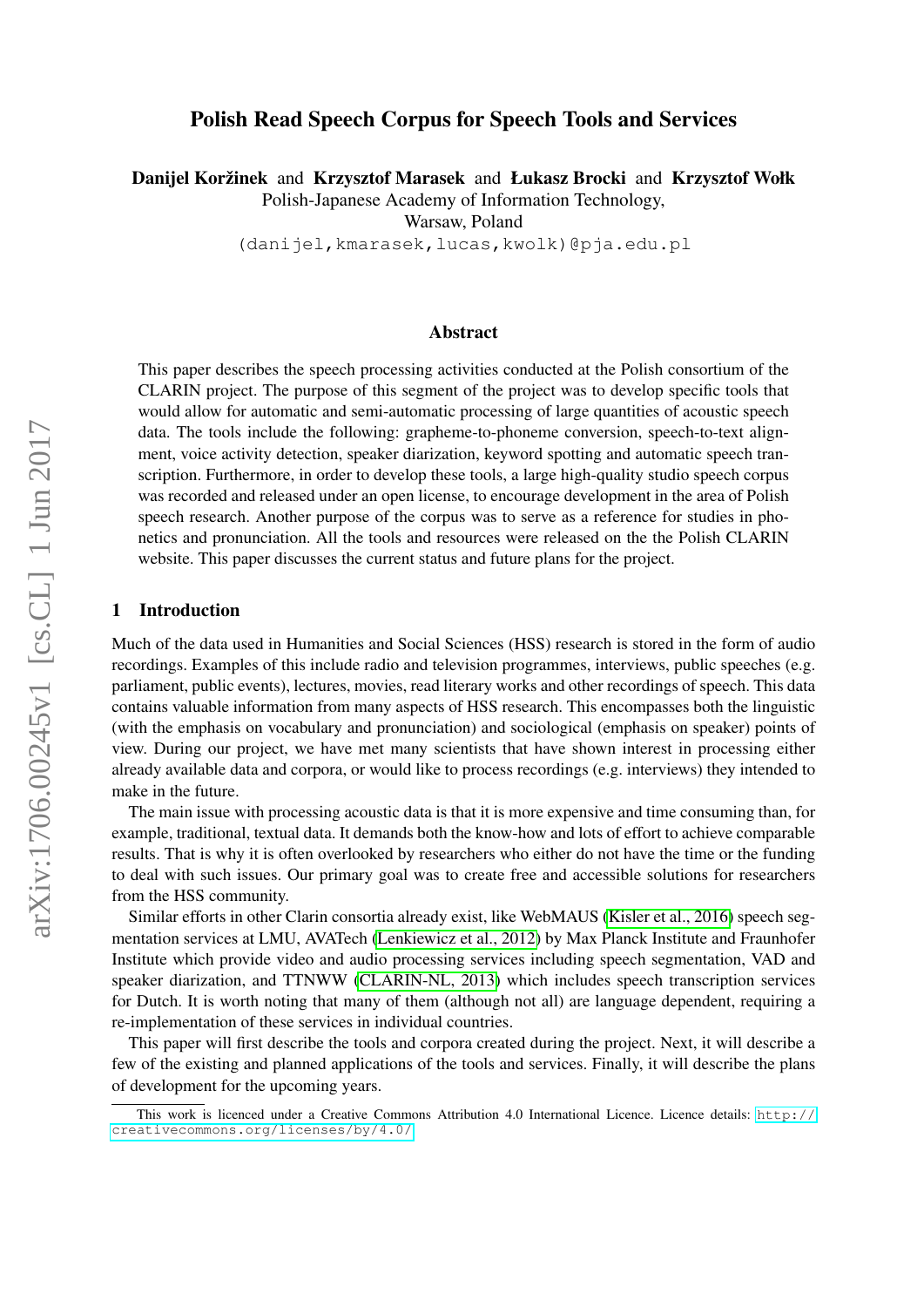# Polish Read Speech Corpus for Speech Tools and Services

Danijel Koržinek and Krzysztof Marasek and Łukasz Brocki and Krzysztof Wołk

Polish-Japanese Academy of Information Technology,

Warsaw, Poland

(danijel,kmarasek,lucas,kwolk)@pja.edu.pl

## Abstract

This paper describes the speech processing activities conducted at the Polish consortium of the CLARIN project. The purpose of this segment of the project was to develop specific tools that would allow for automatic and semi-automatic processing of large quantities of acoustic speech data. The tools include the following: grapheme-to-phoneme conversion, speech-to-text alignment, voice activity detection, speaker diarization, keyword spotting and automatic speech transcription. Furthermore, in order to develop these tools, a large high-quality studio speech corpus was recorded and released under an open license, to encourage development in the area of Polish speech research. Another purpose of the corpus was to serve as a reference for studies in phonetics and pronunciation. All the tools and resources were released on the the Polish CLARIN website. This paper discusses the current status and future plans for the project.

## 1 Introduction

Much of the data used in Humanities and Social Sciences (HSS) research is stored in the form of audio recordings. Examples of this include radio and television programmes, interviews, public speeches (e.g. parliament, public events), lectures, movies, read literary works and other recordings of speech. This data contains valuable information from many aspects of HSS research. This encompasses both the linguistic (with the emphasis on vocabulary and pronunciation) and sociological (emphasis on speaker) points of view. During our project, we have met many scientists that have shown interest in processing either already available data and corpora, or would like to process recordings (e.g. interviews) they intended to make in the future.

The main issue with processing acoustic data is that it is more expensive and time consuming than, for example, traditional, textual data. It demands both the know-how and lots of effort to achieve comparable results. That is why it is often overlooked by researchers who either do not have the time or the funding to deal with such issues. Our primary goal was to create free and accessible solutions for researchers from the HSS community.

Similar efforts in other Clarin consortia already exist, like WebMAUS [\(Kisler et al., 2016\)](#page-7-0) speech segmentation services at LMU, AVATech [\(Lenkiewicz et al., 2012\)](#page-7-1) by Max Planck Institute and Fraunhofer Institute which provide video and audio processing services including speech segmentation, VAD and speaker diarization, and TTNWW [\(CLARIN-NL, 2013\)](#page-7-2) which includes speech transcription services for Dutch. It is worth noting that many of them (although not all) are language dependent, requiring a re-implementation of these services in individual countries.

This paper will first describe the tools and corpora created during the project. Next, it will describe a few of the existing and planned applications of the tools and services. Finally, it will describe the plans of development for the upcoming years.

This work is licenced under a Creative Commons Attribution 4.0 International Licence. Licence details: [http://](http://creativecommons.org/licenses/by/4.0/) [creativecommons.org/licenses/by/4.0/](http://creativecommons.org/licenses/by/4.0/)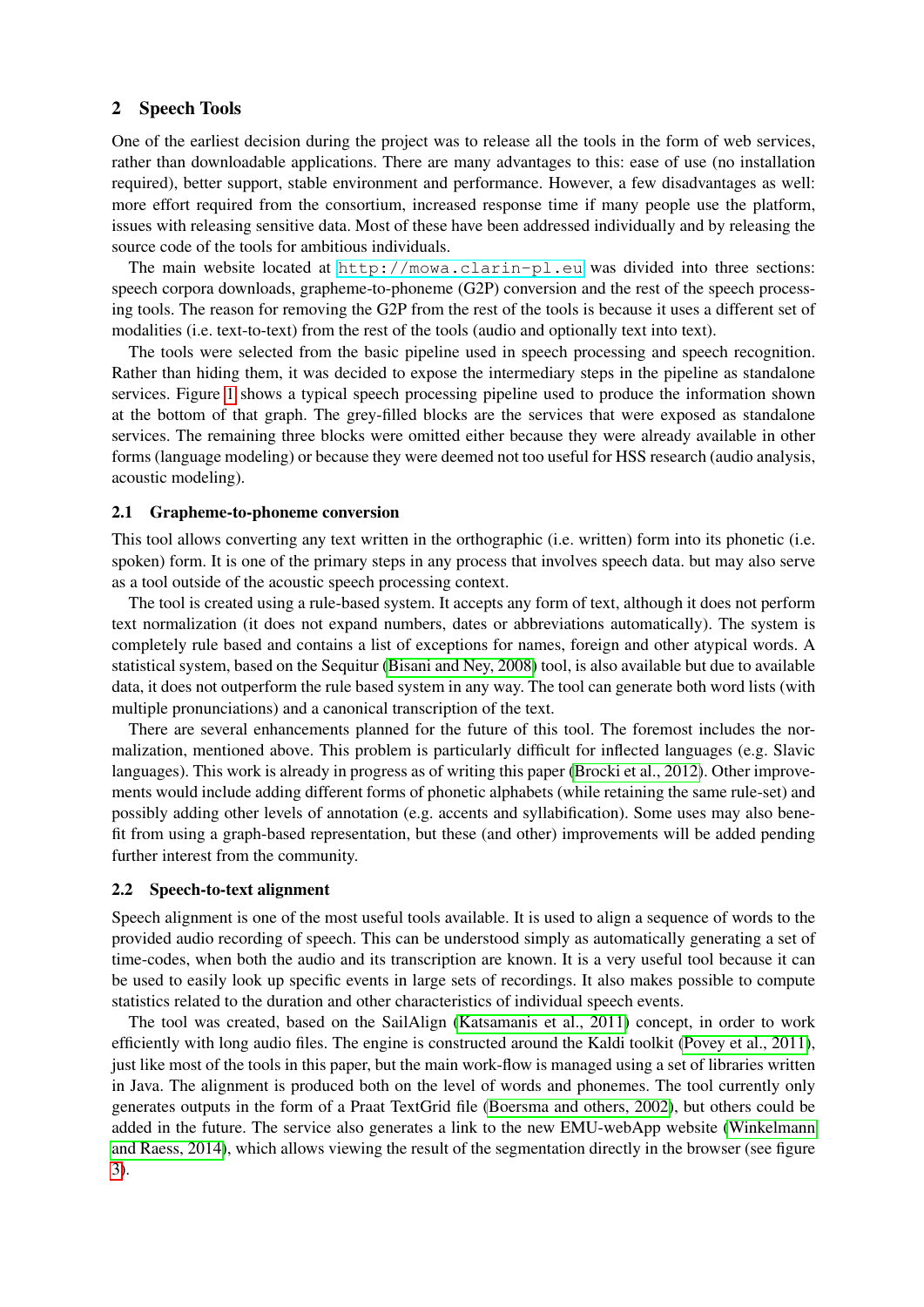## 2 Speech Tools

One of the earliest decision during the project was to release all the tools in the form of web services, rather than downloadable applications. There are many advantages to this: ease of use (no installation required), better support, stable environment and performance. However, a few disadvantages as well: more effort required from the consortium, increased response time if many people use the platform, issues with releasing sensitive data. Most of these have been addressed individually and by releasing the source code of the tools for ambitious individuals.

The main website located at <http://mowa.clarin-pl.eu> was divided into three sections: speech corpora downloads, grapheme-to-phoneme (G2P) conversion and the rest of the speech processing tools. The reason for removing the G2P from the rest of the tools is because it uses a different set of modalities (i.e. text-to-text) from the rest of the tools (audio and optionally text into text).

The tools were selected from the basic pipeline used in speech processing and speech recognition. Rather than hiding them, it was decided to expose the intermediary steps in the pipeline as standalone services. Figure [1](#page-2-0) shows a typical speech processing pipeline used to produce the information shown at the bottom of that graph. The grey-filled blocks are the services that were exposed as standalone services. The remaining three blocks were omitted either because they were already available in other forms (language modeling) or because they were deemed not too useful for HSS research (audio analysis, acoustic modeling).

### 2.1 Grapheme-to-phoneme conversion

This tool allows converting any text written in the orthographic (i.e. written) form into its phonetic (i.e. spoken) form. It is one of the primary steps in any process that involves speech data. but may also serve as a tool outside of the acoustic speech processing context.

The tool is created using a rule-based system. It accepts any form of text, although it does not perform text normalization (it does not expand numbers, dates or abbreviations automatically). The system is completely rule based and contains a list of exceptions for names, foreign and other atypical words. A statistical system, based on the Sequitur [\(Bisani and Ney, 2008\)](#page-7-3) tool, is also available but due to available data, it does not outperform the rule based system in any way. The tool can generate both word lists (with multiple pronunciations) and a canonical transcription of the text.

There are several enhancements planned for the future of this tool. The foremost includes the normalization, mentioned above. This problem is particularly difficult for inflected languages (e.g. Slavic languages). This work is already in progress as of writing this paper [\(Brocki et al., 2012\)](#page-7-4). Other improvements would include adding different forms of phonetic alphabets (while retaining the same rule-set) and possibly adding other levels of annotation (e.g. accents and syllabification). Some uses may also benefit from using a graph-based representation, but these (and other) improvements will be added pending further interest from the community.

#### 2.2 Speech-to-text alignment

Speech alignment is one of the most useful tools available. It is used to align a sequence of words to the provided audio recording of speech. This can be understood simply as automatically generating a set of time-codes, when both the audio and its transcription are known. It is a very useful tool because it can be used to easily look up specific events in large sets of recordings. It also makes possible to compute statistics related to the duration and other characteristics of individual speech events.

The tool was created, based on the SailAlign [\(Katsamanis et al., 2011\)](#page-7-5) concept, in order to work efficiently with long audio files. The engine is constructed around the Kaldi toolkit [\(Povey et al., 2011\)](#page-7-6), just like most of the tools in this paper, but the main work-flow is managed using a set of libraries written in Java. The alignment is produced both on the level of words and phonemes. The tool currently only generates outputs in the form of a Praat TextGrid file [\(Boersma and others, 2002\)](#page-7-7), but others could be added in the future. The service also generates a link to the new EMU-webApp website [\(Winkelmann](#page-8-0) [and Raess, 2014\)](#page-8-0), which allows viewing the result of the segmentation directly in the browser (see figure [3\)](#page-3-0).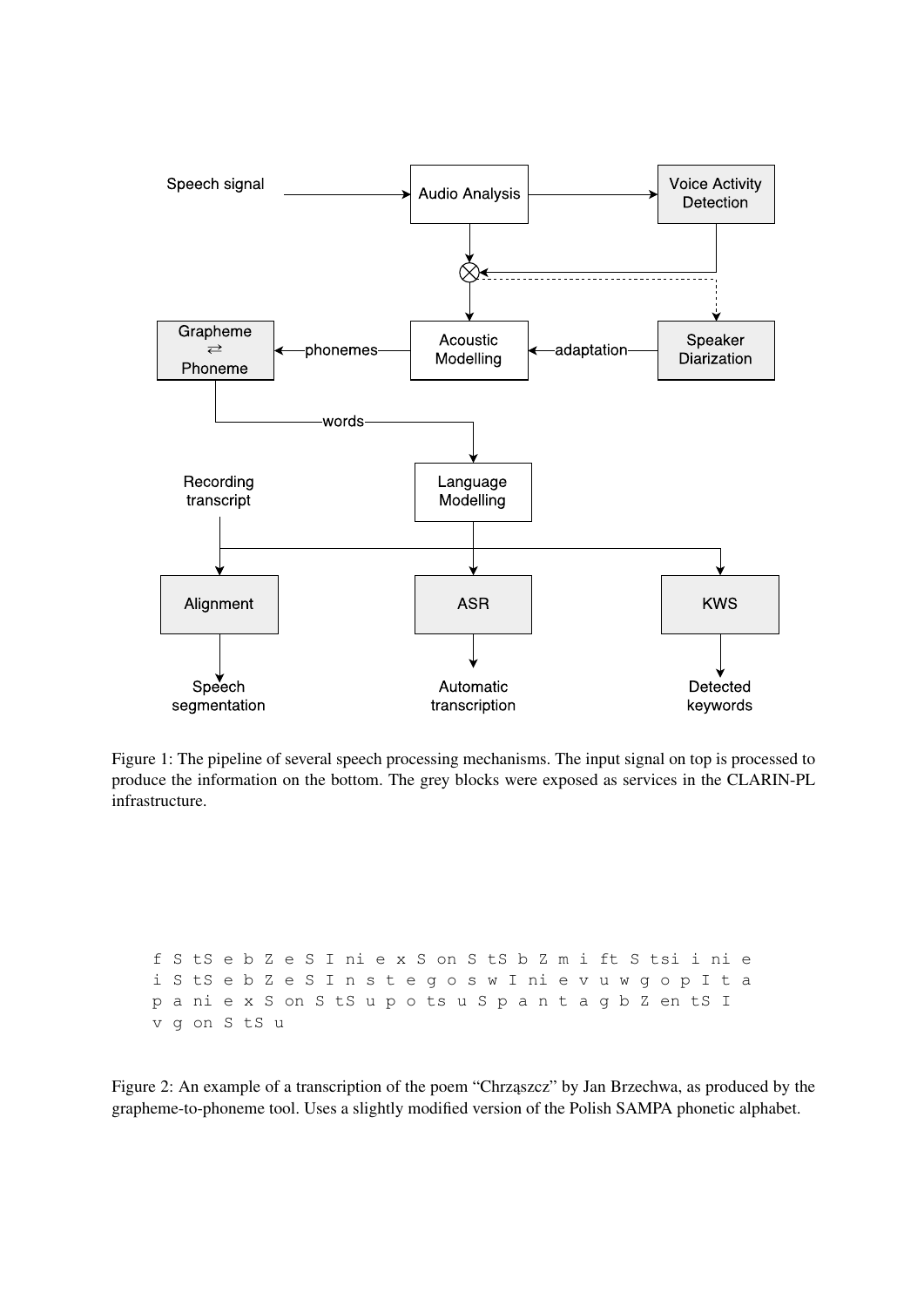

<span id="page-2-0"></span>Figure 1: The pipeline of several speech processing mechanisms. The input signal on top is processed to produce the information on the bottom. The grey blocks were exposed as services in the CLARIN-PL infrastructure.

f S tS e b Z e S I ni e x S on S tS b Z m i ft S tsi i ni e i S tS e b Z e S I n s t e g o s w I ni e v u w g o p I t a p a ni e x S on S tS u p o ts u S p a n t a g b Z en tS I v g on S tS u

Figure 2: An example of a transcription of the poem "Chrząszcz" by Jan Brzechwa, as produced by the grapheme-to-phoneme tool. Uses a slightly modified version of the Polish SAMPA phonetic alphabet.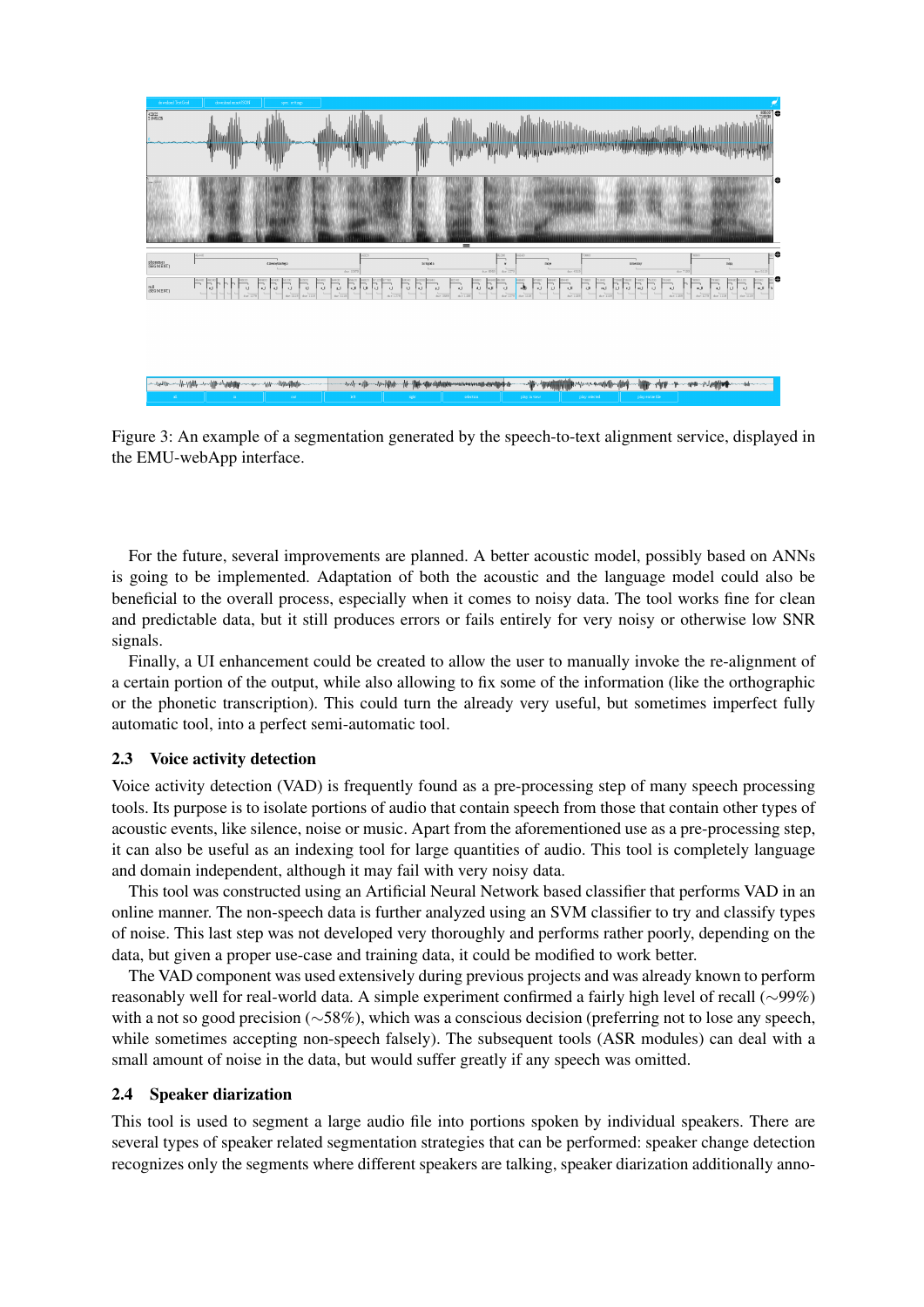

<span id="page-3-0"></span>Figure 3: An example of a segmentation generated by the speech-to-text alignment service, displayed in the EMU-webApp interface.

For the future, several improvements are planned. A better acoustic model, possibly based on ANNs is going to be implemented. Adaptation of both the acoustic and the language model could also be beneficial to the overall process, especially when it comes to noisy data. The tool works fine for clean and predictable data, but it still produces errors or fails entirely for very noisy or otherwise low SNR signals.

Finally, a UI enhancement could be created to allow the user to manually invoke the re-alignment of a certain portion of the output, while also allowing to fix some of the information (like the orthographic or the phonetic transcription). This could turn the already very useful, but sometimes imperfect fully automatic tool, into a perfect semi-automatic tool.

# 2.3 Voice activity detection

Voice activity detection (VAD) is frequently found as a pre-processing step of many speech processing tools. Its purpose is to isolate portions of audio that contain speech from those that contain other types of acoustic events, like silence, noise or music. Apart from the aforementioned use as a pre-processing step, it can also be useful as an indexing tool for large quantities of audio. This tool is completely language and domain independent, although it may fail with very noisy data.

This tool was constructed using an Artificial Neural Network based classifier that performs VAD in an online manner. The non-speech data is further analyzed using an SVM classifier to try and classify types of noise. This last step was not developed very thoroughly and performs rather poorly, depending on the data, but given a proper use-case and training data, it could be modified to work better.

The VAD component was used extensively during previous projects and was already known to perform reasonably well for real-world data. A simple experiment confirmed a fairly high level of recall (∼99%) with a not so good precision (∼58%), which was a conscious decision (preferring not to lose any speech, while sometimes accepting non-speech falsely). The subsequent tools (ASR modules) can deal with a small amount of noise in the data, but would suffer greatly if any speech was omitted.

### 2.4 Speaker diarization

This tool is used to segment a large audio file into portions spoken by individual speakers. There are several types of speaker related segmentation strategies that can be performed: speaker change detection recognizes only the segments where different speakers are talking, speaker diarization additionally anno-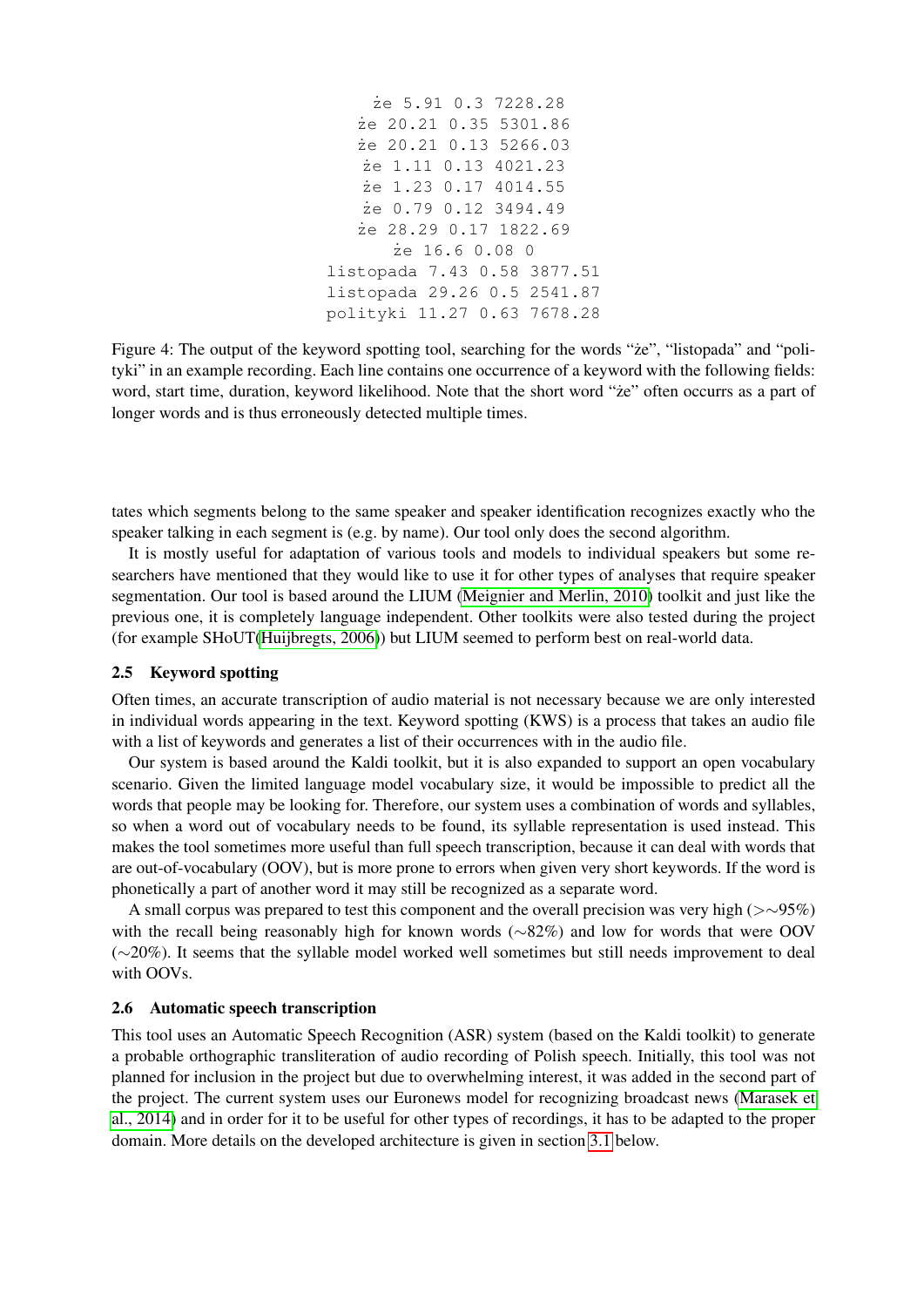```
˙ze 5.91 0.3 7228.28
   ˙ze 20.21 0.35 5301.86
   ˙ze 20.21 0.13 5266.03
   ˙ze 1.11 0.13 4021.23
   ˙ze 1.23 0.17 4014.55
   ˙ze 0.79 0.12 3494.49
   ˙ze 28.29 0.17 1822.69
      ˙ze 16.6 0.08 0
listopada 7.43 0.58 3877.51
listopada 29.26 0.5 2541.87
polityki 11.27 0.63 7678.28
```
Figure 4: The output of the keyword spotting tool, searching for the words "ze", "listopada" and "polityki" in an example recording. Each line contains one occurrence of a keyword with the following fields: word, start time, duration, keyword likelihood. Note that the short word "*ze*" often occurrs as a part of longer words and is thus erroneously detected multiple times.

tates which segments belong to the same speaker and speaker identification recognizes exactly who the speaker talking in each segment is (e.g. by name). Our tool only does the second algorithm.

It is mostly useful for adaptation of various tools and models to individual speakers but some researchers have mentioned that they would like to use it for other types of analyses that require speaker segmentation. Our tool is based around the LIUM [\(Meignier and Merlin, 2010\)](#page-7-8) toolkit and just like the previous one, it is completely language independent. Other toolkits were also tested during the project (for example SHoUT[\(Huijbregts, 2006\)](#page-7-9)) but LIUM seemed to perform best on real-world data.

# 2.5 Keyword spotting

Often times, an accurate transcription of audio material is not necessary because we are only interested in individual words appearing in the text. Keyword spotting (KWS) is a process that takes an audio file with a list of keywords and generates a list of their occurrences with in the audio file.

Our system is based around the Kaldi toolkit, but it is also expanded to support an open vocabulary scenario. Given the limited language model vocabulary size, it would be impossible to predict all the words that people may be looking for. Therefore, our system uses a combination of words and syllables, so when a word out of vocabulary needs to be found, its syllable representation is used instead. This makes the tool sometimes more useful than full speech transcription, because it can deal with words that are out-of-vocabulary (OOV), but is more prone to errors when given very short keywords. If the word is phonetically a part of another word it may still be recognized as a separate word.

A small corpus was prepared to test this component and the overall precision was very high (>∼95%) with the recall being reasonably high for known words (∼82%) and low for words that were OOV (∼20%). It seems that the syllable model worked well sometimes but still needs improvement to deal with OOVs.

## 2.6 Automatic speech transcription

This tool uses an Automatic Speech Recognition (ASR) system (based on the Kaldi toolkit) to generate a probable orthographic transliteration of audio recording of Polish speech. Initially, this tool was not planned for inclusion in the project but due to overwhelming interest, it was added in the second part of the project. The current system uses our Euronews model for recognizing broadcast news [\(Marasek et](#page-7-10) [al., 2014\)](#page-7-10) and in order for it to be useful for other types of recordings, it has to be adapted to the proper domain. More details on the developed architecture is given in section [3.1](#page-5-0) below.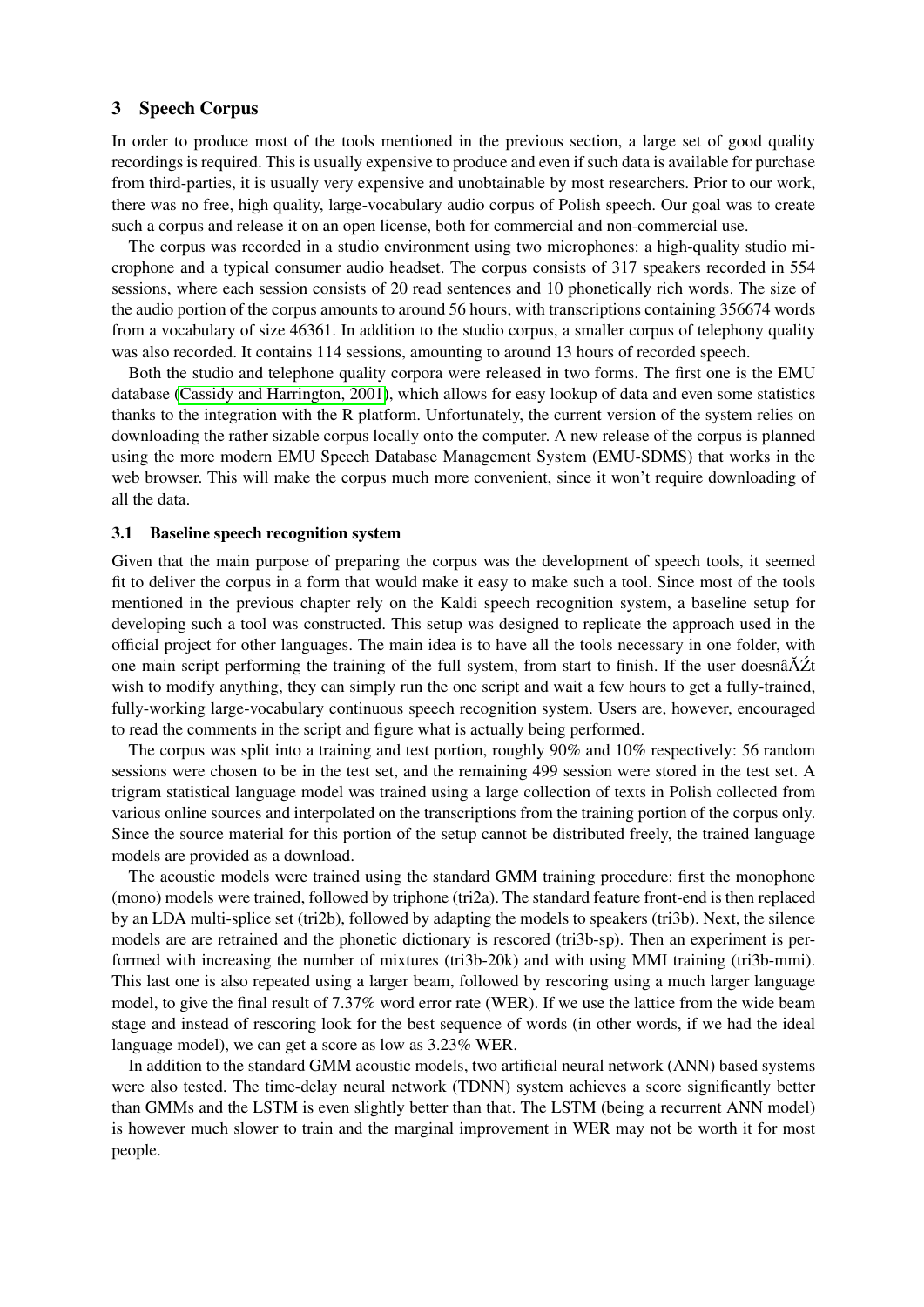## 3 Speech Corpus

In order to produce most of the tools mentioned in the previous section, a large set of good quality recordings is required. This is usually expensive to produce and even if such data is available for purchase from third-parties, it is usually very expensive and unobtainable by most researchers. Prior to our work, there was no free, high quality, large-vocabulary audio corpus of Polish speech. Our goal was to create such a corpus and release it on an open license, both for commercial and non-commercial use.

The corpus was recorded in a studio environment using two microphones: a high-quality studio microphone and a typical consumer audio headset. The corpus consists of 317 speakers recorded in 554 sessions, where each session consists of 20 read sentences and 10 phonetically rich words. The size of the audio portion of the corpus amounts to around 56 hours, with transcriptions containing 356674 words from a vocabulary of size 46361. In addition to the studio corpus, a smaller corpus of telephony quality was also recorded. It contains 114 sessions, amounting to around 13 hours of recorded speech.

Both the studio and telephone quality corpora were released in two forms. The first one is the EMU database [\(Cassidy and Harrington, 2001\)](#page-7-11), which allows for easy lookup of data and even some statistics thanks to the integration with the R platform. Unfortunately, the current version of the system relies on downloading the rather sizable corpus locally onto the computer. A new release of the corpus is planned using the more modern EMU Speech Database Management System (EMU-SDMS) that works in the web browser. This will make the corpus much more convenient, since it won't require downloading of all the data.

### <span id="page-5-0"></span>3.1 Baseline speech recognition system

Given that the main purpose of preparing the corpus was the development of speech tools, it seemed fit to deliver the corpus in a form that would make it easy to make such a tool. Since most of the tools mentioned in the previous chapter rely on the Kaldi speech recognition system, a baseline setup for developing such a tool was constructed. This setup was designed to replicate the approach used in the official project for other languages. The main idea is to have all the tools necessary in one folder, with one main script performing the training of the full system, from start to finish. If the user doesn $\tilde{a} \tilde{A} \tilde{Z}$ t wish to modify anything, they can simply run the one script and wait a few hours to get a fully-trained, fully-working large-vocabulary continuous speech recognition system. Users are, however, encouraged to read the comments in the script and figure what is actually being performed.

The corpus was split into a training and test portion, roughly 90% and 10% respectively: 56 random sessions were chosen to be in the test set, and the remaining 499 session were stored in the test set. A trigram statistical language model was trained using a large collection of texts in Polish collected from various online sources and interpolated on the transcriptions from the training portion of the corpus only. Since the source material for this portion of the setup cannot be distributed freely, the trained language models are provided as a download.

The acoustic models were trained using the standard GMM training procedure: first the monophone (mono) models were trained, followed by triphone (tri2a). The standard feature front-end is then replaced by an LDA multi-splice set (tri2b), followed by adapting the models to speakers (tri3b). Next, the silence models are are retrained and the phonetic dictionary is rescored (tri3b-sp). Then an experiment is performed with increasing the number of mixtures (tri3b-20k) and with using MMI training (tri3b-mmi). This last one is also repeated using a larger beam, followed by rescoring using a much larger language model, to give the final result of 7.37% word error rate (WER). If we use the lattice from the wide beam stage and instead of rescoring look for the best sequence of words (in other words, if we had the ideal language model), we can get a score as low as 3.23% WER.

In addition to the standard GMM acoustic models, two artificial neural network (ANN) based systems were also tested. The time-delay neural network (TDNN) system achieves a score significantly better than GMMs and the LSTM is even slightly better than that. The LSTM (being a recurrent ANN model) is however much slower to train and the marginal improvement in WER may not be worth it for most people.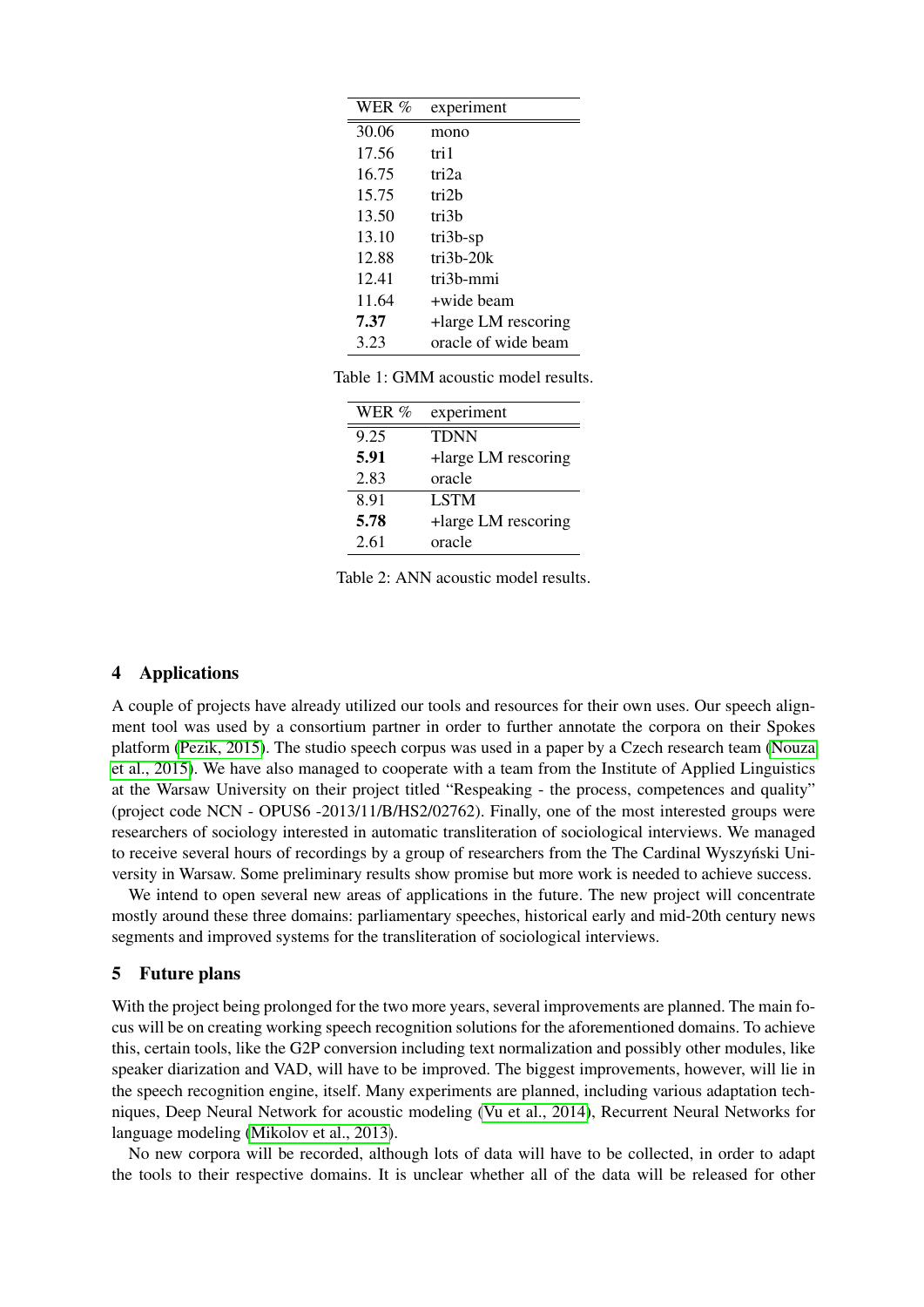| WER % | experiment          |
|-------|---------------------|
| 30.06 | mono                |
| 17.56 | tri 1               |
| 16.75 | tri2a               |
| 15.75 | tri2h               |
| 13.50 | tri3b               |
| 13.10 | $tri3b$ -sp         |
| 12.88 | $tri3b-20k$         |
| 12.41 | tri3h-mmi           |
| 11.64 | +wide beam          |
| 7.37  | +large LM rescoring |
| 3.23  | oracle of wide beam |

Table 1: GMM acoustic model results.

| WER $\%$ | experiment          |
|----------|---------------------|
| 9.25     | <b>TDNN</b>         |
| 5.91     | +large LM rescoring |
| 2.83     | oracle              |
| 8.91     | <b>LSTM</b>         |
| 5.78     | +large LM rescoring |
| 2.61     | oracle              |

Table 2: ANN acoustic model results.

## 4 Applications

A couple of projects have already utilized our tools and resources for their own uses. Our speech alignment tool was used by a consortium partner in order to further annotate the corpora on their Spokes platform [\(Pezik, 2015\)](#page-7-12). The studio speech corpus was used in a paper by a Czech research team [\(Nouza](#page-7-13) [et al., 2015\)](#page-7-13). We have also managed to cooperate with a team from the Institute of Applied Linguistics at the Warsaw University on their project titled "Respeaking - the process, competences and quality" (project code NCN - OPUS6 -2013/11/B/HS2/02762). Finally, one of the most interested groups were researchers of sociology interested in automatic transliteration of sociological interviews. We managed to receive several hours of recordings by a group of researchers from the The Cardinal Wyszyński University in Warsaw. Some preliminary results show promise but more work is needed to achieve success.

We intend to open several new areas of applications in the future. The new project will concentrate mostly around these three domains: parliamentary speeches, historical early and mid-20th century news segments and improved systems for the transliteration of sociological interviews.

## 5 Future plans

With the project being prolonged for the two more years, several improvements are planned. The main focus will be on creating working speech recognition solutions for the aforementioned domains. To achieve this, certain tools, like the G2P conversion including text normalization and possibly other modules, like speaker diarization and VAD, will have to be improved. The biggest improvements, however, will lie in the speech recognition engine, itself. Many experiments are planned, including various adaptation techniques, Deep Neural Network for acoustic modeling [\(Vu et al., 2014\)](#page-8-1), Recurrent Neural Networks for language modeling [\(Mikolov et al., 2013\)](#page-7-14).

No new corpora will be recorded, although lots of data will have to be collected, in order to adapt the tools to their respective domains. It is unclear whether all of the data will be released for other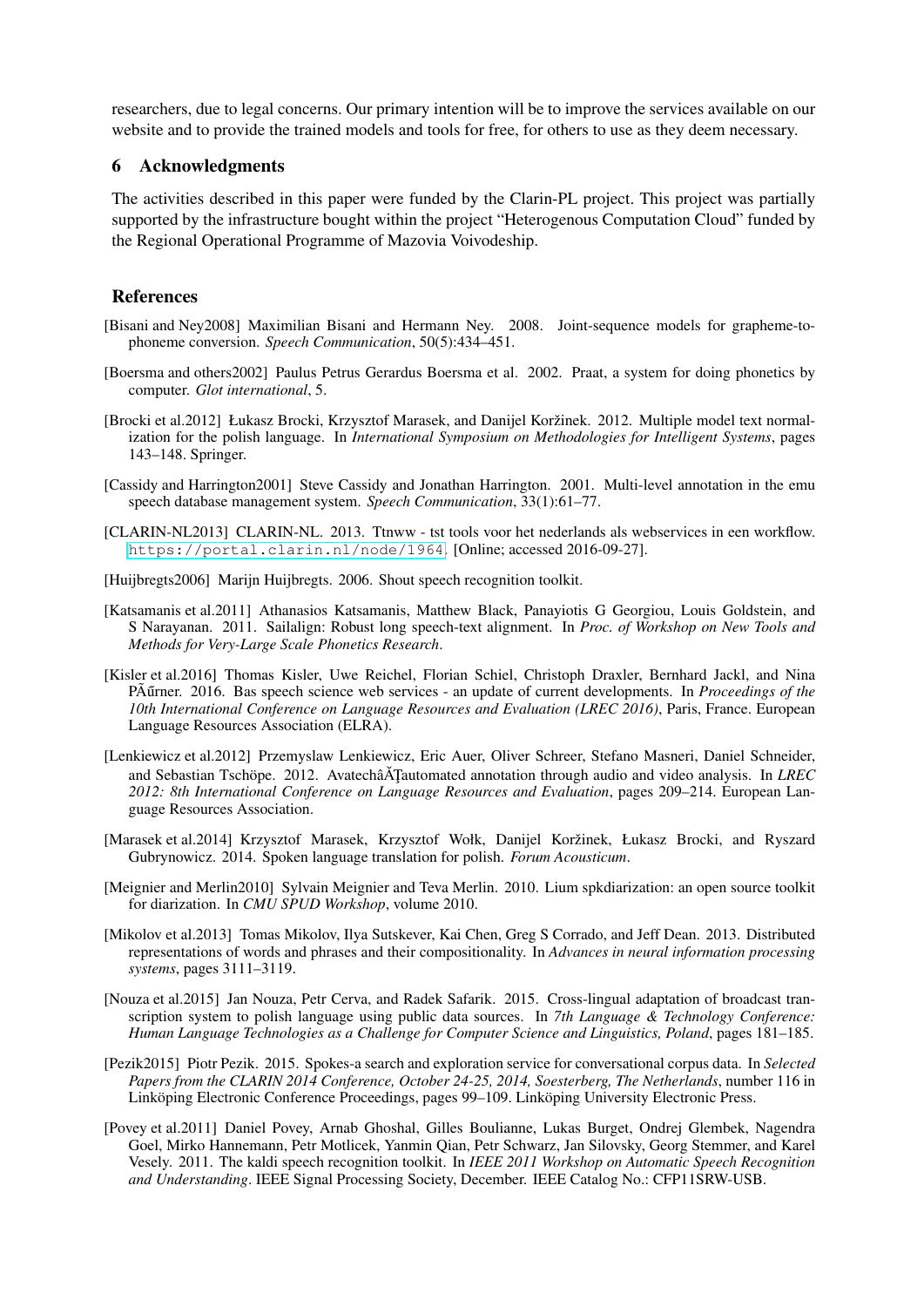researchers, due to legal concerns. Our primary intention will be to improve the services available on our website and to provide the trained models and tools for free, for others to use as they deem necessary.

## 6 Acknowledgments

The activities described in this paper were funded by the Clarin-PL project. This project was partially supported by the infrastructure bought within the project "Heterogenous Computation Cloud" funded by the Regional Operational Programme of Mazovia Voivodeship.

# References

- <span id="page-7-3"></span>[Bisani and Ney2008] Maximilian Bisani and Hermann Ney. 2008. Joint-sequence models for grapheme-tophoneme conversion. *Speech Communication*, 50(5):434–451.
- <span id="page-7-7"></span>[Boersma and others2002] Paulus Petrus Gerardus Boersma et al. 2002. Praat, a system for doing phonetics by computer. *Glot international*, 5.
- <span id="page-7-4"></span>[Brocki et al.2012] Łukasz Brocki, Krzysztof Marasek, and Danijel Koržinek. 2012. Multiple model text normalization for the polish language. In *International Symposium on Methodologies for Intelligent Systems*, pages 143–148. Springer.
- <span id="page-7-11"></span>[Cassidy and Harrington2001] Steve Cassidy and Jonathan Harrington. 2001. Multi-level annotation in the emu speech database management system. *Speech Communication*, 33(1):61–77.
- <span id="page-7-2"></span>[CLARIN-NL2013] CLARIN-NL. 2013. Ttnww - tst tools voor het nederlands als webservices in een workflow. <https://portal.clarin.nl/node/1964>. [Online; accessed 2016-09-27].
- <span id="page-7-9"></span>[Huijbregts2006] Marijn Huijbregts. 2006. Shout speech recognition toolkit.
- <span id="page-7-5"></span>[Katsamanis et al.2011] Athanasios Katsamanis, Matthew Black, Panayiotis G Georgiou, Louis Goldstein, and S Narayanan. 2011. Sailalign: Robust long speech-text alignment. In *Proc. of Workshop on New Tools and Methods for Very-Large Scale Phonetics Research*.
- <span id="page-7-0"></span>[Kisler et al.2016] Thomas Kisler, Uwe Reichel, Florian Schiel, Christoph Draxler, Bernhard Jackl, and Nina PÃ urner. 2016. Bas speech science web services - an update of current developments. In *Proceedings of the 10th International Conference on Language Resources and Evaluation (LREC 2016)*, Paris, France. European Language Resources Association (ELRA).
- <span id="page-7-1"></span>[Lenkiewicz et al.2012] Przemyslaw Lenkiewicz, Eric Auer, Oliver Schreer, Stefano Masneri, Daniel Schneider, and Sebastian Tschöpe. 2012. AvatechâATautomated annotation through audio and video analysis. In *LREC 2012: 8th International Conference on Language Resources and Evaluation*, pages 209–214. European Language Resources Association.
- <span id="page-7-10"></span>[Marasek et al.2014] Krzysztof Marasek, Krzysztof Wołk, Danijel Koržinek, Łukasz Brocki, and Ryszard Gubrynowicz. 2014. Spoken language translation for polish. *Forum Acousticum*.
- <span id="page-7-8"></span>[Meignier and Merlin2010] Sylvain Meignier and Teva Merlin. 2010. Lium spkdiarization: an open source toolkit for diarization. In *CMU SPUD Workshop*, volume 2010.
- <span id="page-7-14"></span>[Mikolov et al.2013] Tomas Mikolov, Ilya Sutskever, Kai Chen, Greg S Corrado, and Jeff Dean. 2013. Distributed representations of words and phrases and their compositionality. In *Advances in neural information processing systems*, pages 3111–3119.
- <span id="page-7-13"></span>[Nouza et al.2015] Jan Nouza, Petr Cerva, and Radek Safarik. 2015. Cross-lingual adaptation of broadcast transcription system to polish language using public data sources. In *7th Language & Technology Conference: Human Language Technologies as a Challenge for Computer Science and Linguistics, Poland*, pages 181–185.
- <span id="page-7-12"></span>[Pezik2015] Piotr Pezik. 2015. Spokes-a search and exploration service for conversational corpus data. In *Selected Papers from the CLARIN 2014 Conference, October 24-25, 2014, Soesterberg, The Netherlands*, number 116 in Linköping Electronic Conference Proceedings, pages 99–109. Linköping University Electronic Press.
- <span id="page-7-6"></span>[Povey et al.2011] Daniel Povey, Arnab Ghoshal, Gilles Boulianne, Lukas Burget, Ondrej Glembek, Nagendra Goel, Mirko Hannemann, Petr Motlicek, Yanmin Qian, Petr Schwarz, Jan Silovsky, Georg Stemmer, and Karel Vesely. 2011. The kaldi speech recognition toolkit. In *IEEE 2011 Workshop on Automatic Speech Recognition and Understanding*. IEEE Signal Processing Society, December. IEEE Catalog No.: CFP11SRW-USB.